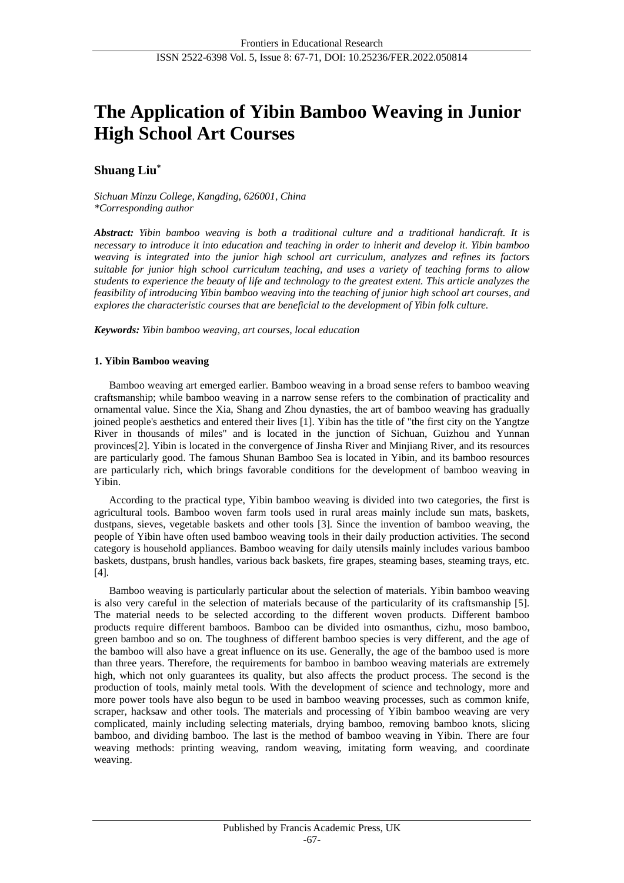# **The Application of Yibin Bamboo Weaving in Junior High School Art Courses**

## **Shuang Liu\***

*Sichuan Minzu College, Kangding, 626001, China \*Corresponding author*

*Abstract: Yibin bamboo weaving is both a traditional culture and a traditional handicraft. It is necessary to introduce it into education and teaching in order to inherit and develop it. Yibin bamboo weaving is integrated into the junior high school art curriculum, analyzes and refines its factors suitable for junior high school curriculum teaching, and uses a variety of teaching forms to allow students to experience the beauty of life and technology to the greatest extent. This article analyzes the feasibility of introducing Yibin bamboo weaving into the teaching of junior high school art courses, and explores the characteristic courses that are beneficial to the development of Yibin folk culture.*

*Keywords: Yibin bamboo weaving, art courses, local education*

## **1. Yibin Bamboo weaving**

Bamboo weaving art emerged earlier. Bamboo weaving in a broad sense refers to bamboo weaving craftsmanship; while bamboo weaving in a narrow sense refers to the combination of practicality and ornamental value. Since the Xia, Shang and Zhou dynasties, the art of bamboo weaving has gradually joined people's aesthetics and entered their lives [1]. Yibin has the title of "the first city on the Yangtze River in thousands of miles" and is located in the junction of Sichuan, Guizhou and Yunnan provinces[2]. Yibin is located in the convergence of Jinsha River and Minjiang River, and its resources are particularly good. The famous Shunan Bamboo Sea is located in Yibin, and its bamboo resources are particularly rich, which brings favorable conditions for the development of bamboo weaving in Yibin.

According to the practical type, Yibin bamboo weaving is divided into two categories, the first is agricultural tools. Bamboo woven farm tools used in rural areas mainly include sun mats, baskets, dustpans, sieves, vegetable baskets and other tools [3]. Since the invention of bamboo weaving, the people of Yibin have often used bamboo weaving tools in their daily production activities. The second category is household appliances. Bamboo weaving for daily utensils mainly includes various bamboo baskets, dustpans, brush handles, various back baskets, fire grapes, steaming bases, steaming trays, etc. [4].

Bamboo weaving is particularly particular about the selection of materials. Yibin bamboo weaving is also very careful in the selection of materials because of the particularity of its craftsmanship [5]. The material needs to be selected according to the different woven products. Different bamboo products require different bamboos. Bamboo can be divided into osmanthus, cizhu, moso bamboo, green bamboo and so on. The toughness of different bamboo species is very different, and the age of the bamboo will also have a great influence on its use. Generally, the age of the bamboo used is more than three years. Therefore, the requirements for bamboo in bamboo weaving materials are extremely high, which not only guarantees its quality, but also affects the product process. The second is the production of tools, mainly metal tools. With the development of science and technology, more and more power tools have also begun to be used in bamboo weaving processes, such as common knife, scraper, hacksaw and other tools. The materials and processing of Yibin bamboo weaving are very complicated, mainly including selecting materials, drying bamboo, removing bamboo knots, slicing bamboo, and dividing bamboo. The last is the method of bamboo weaving in Yibin. There are four weaving methods: printing weaving, random weaving, imitating form weaving, and coordinate weaving.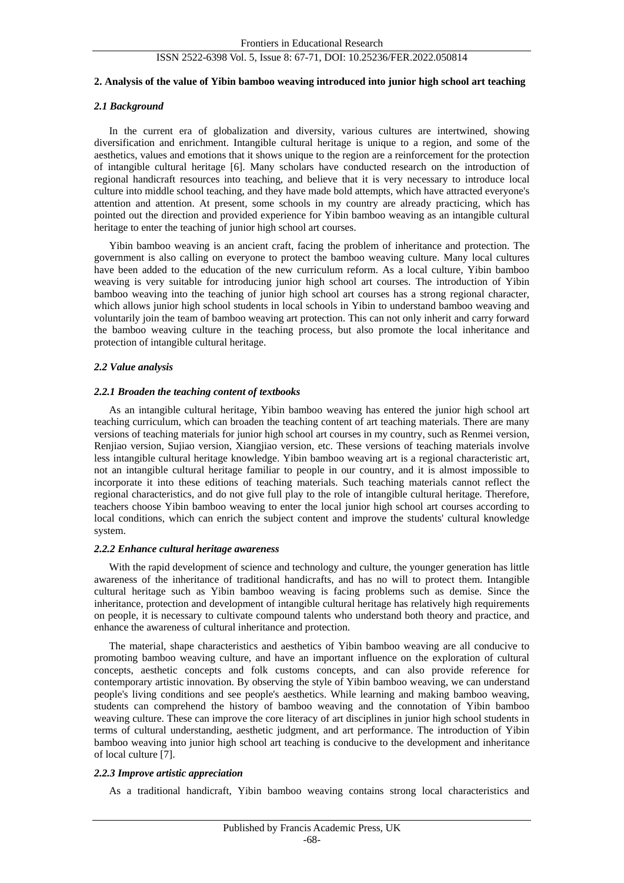#### **2. Analysis of the value of Yibin bamboo weaving introduced into junior high school art teaching**

#### *2.1 Background*

In the current era of globalization and diversity, various cultures are intertwined, showing diversification and enrichment. Intangible cultural heritage is unique to a region, and some of the aesthetics, values and emotions that it shows unique to the region are a reinforcement for the protection of intangible cultural heritage [6]. Many scholars have conducted research on the introduction of regional handicraft resources into teaching, and believe that it is very necessary to introduce local culture into middle school teaching, and they have made bold attempts, which have attracted everyone's attention and attention. At present, some schools in my country are already practicing, which has pointed out the direction and provided experience for Yibin bamboo weaving as an intangible cultural heritage to enter the teaching of junior high school art courses.

Yibin bamboo weaving is an ancient craft, facing the problem of inheritance and protection. The government is also calling on everyone to protect the bamboo weaving culture. Many local cultures have been added to the education of the new curriculum reform. As a local culture, Yibin bamboo weaving is very suitable for introducing junior high school art courses. The introduction of Yibin bamboo weaving into the teaching of junior high school art courses has a strong regional character, which allows junior high school students in local schools in Yibin to understand bamboo weaving and voluntarily join the team of bamboo weaving art protection. This can not only inherit and carry forward the bamboo weaving culture in the teaching process, but also promote the local inheritance and protection of intangible cultural heritage.

#### *2.2 Value analysis*

#### *2.2.1 Broaden the teaching content of textbooks*

As an intangible cultural heritage, Yibin bamboo weaving has entered the junior high school art teaching curriculum, which can broaden the teaching content of art teaching materials. There are many versions of teaching materials for junior high school art courses in my country, such as Renmei version, Renjiao version, Sujiao version, Xiangjiao version, etc. These versions of teaching materials involve less intangible cultural heritage knowledge. Yibin bamboo weaving art is a regional characteristic art, not an intangible cultural heritage familiar to people in our country, and it is almost impossible to incorporate it into these editions of teaching materials. Such teaching materials cannot reflect the regional characteristics, and do not give full play to the role of intangible cultural heritage. Therefore, teachers choose Yibin bamboo weaving to enter the local junior high school art courses according to local conditions, which can enrich the subject content and improve the students' cultural knowledge system.

#### *2.2.2 Enhance cultural heritage awareness*

With the rapid development of science and technology and culture, the younger generation has little awareness of the inheritance of traditional handicrafts, and has no will to protect them. Intangible cultural heritage such as Yibin bamboo weaving is facing problems such as demise. Since the inheritance, protection and development of intangible cultural heritage has relatively high requirements on people, it is necessary to cultivate compound talents who understand both theory and practice, and enhance the awareness of cultural inheritance and protection.

The material, shape characteristics and aesthetics of Yibin bamboo weaving are all conducive to promoting bamboo weaving culture, and have an important influence on the exploration of cultural concepts, aesthetic concepts and folk customs concepts, and can also provide reference for contemporary artistic innovation. By observing the style of Yibin bamboo weaving, we can understand people's living conditions and see people's aesthetics. While learning and making bamboo weaving, students can comprehend the history of bamboo weaving and the connotation of Yibin bamboo weaving culture. These can improve the core literacy of art disciplines in junior high school students in terms of cultural understanding, aesthetic judgment, and art performance. The introduction of Yibin bamboo weaving into junior high school art teaching is conducive to the development and inheritance of local culture [7].

## *2.2.3 Improve artistic appreciation*

As a traditional handicraft, Yibin bamboo weaving contains strong local characteristics and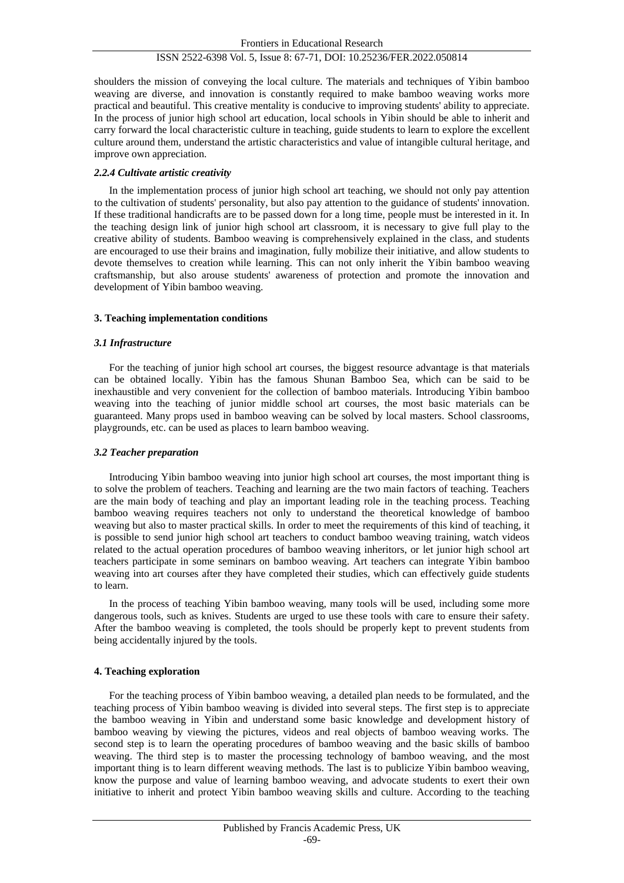shoulders the mission of conveying the local culture. The materials and techniques of Yibin bamboo weaving are diverse, and innovation is constantly required to make bamboo weaving works more practical and beautiful. This creative mentality is conducive to improving students' ability to appreciate. In the process of junior high school art education, local schools in Yibin should be able to inherit and carry forward the local characteristic culture in teaching, guide students to learn to explore the excellent culture around them, understand the artistic characteristics and value of intangible cultural heritage, and improve own appreciation.

#### *2.2.4 Cultivate artistic creativity*

In the implementation process of junior high school art teaching, we should not only pay attention to the cultivation of students' personality, but also pay attention to the guidance of students' innovation. If these traditional handicrafts are to be passed down for a long time, people must be interested in it. In the teaching design link of junior high school art classroom, it is necessary to give full play to the creative ability of students. Bamboo weaving is comprehensively explained in the class, and students are encouraged to use their brains and imagination, fully mobilize their initiative, and allow students to devote themselves to creation while learning. This can not only inherit the Yibin bamboo weaving craftsmanship, but also arouse students' awareness of protection and promote the innovation and development of Yibin bamboo weaving.

## **3. Teaching implementation conditions**

#### *3.1 Infrastructure*

For the teaching of junior high school art courses, the biggest resource advantage is that materials can be obtained locally. Yibin has the famous Shunan Bamboo Sea, which can be said to be inexhaustible and very convenient for the collection of bamboo materials. Introducing Yibin bamboo weaving into the teaching of junior middle school art courses, the most basic materials can be guaranteed. Many props used in bamboo weaving can be solved by local masters. School classrooms, playgrounds, etc. can be used as places to learn bamboo weaving.

#### *3.2 Teacher preparation*

Introducing Yibin bamboo weaving into junior high school art courses, the most important thing is to solve the problem of teachers. Teaching and learning are the two main factors of teaching. Teachers are the main body of teaching and play an important leading role in the teaching process. Teaching bamboo weaving requires teachers not only to understand the theoretical knowledge of bamboo weaving but also to master practical skills. In order to meet the requirements of this kind of teaching, it is possible to send junior high school art teachers to conduct bamboo weaving training, watch videos related to the actual operation procedures of bamboo weaving inheritors, or let junior high school art teachers participate in some seminars on bamboo weaving. Art teachers can integrate Yibin bamboo weaving into art courses after they have completed their studies, which can effectively guide students to learn.

In the process of teaching Yibin bamboo weaving, many tools will be used, including some more dangerous tools, such as knives. Students are urged to use these tools with care to ensure their safety. After the bamboo weaving is completed, the tools should be properly kept to prevent students from being accidentally injured by the tools.

## **4. Teaching exploration**

For the teaching process of Yibin bamboo weaving, a detailed plan needs to be formulated, and the teaching process of Yibin bamboo weaving is divided into several steps. The first step is to appreciate the bamboo weaving in Yibin and understand some basic knowledge and development history of bamboo weaving by viewing the pictures, videos and real objects of bamboo weaving works. The second step is to learn the operating procedures of bamboo weaving and the basic skills of bamboo weaving. The third step is to master the processing technology of bamboo weaving, and the most important thing is to learn different weaving methods. The last is to publicize Yibin bamboo weaving, know the purpose and value of learning bamboo weaving, and advocate students to exert their own initiative to inherit and protect Yibin bamboo weaving skills and culture. According to the teaching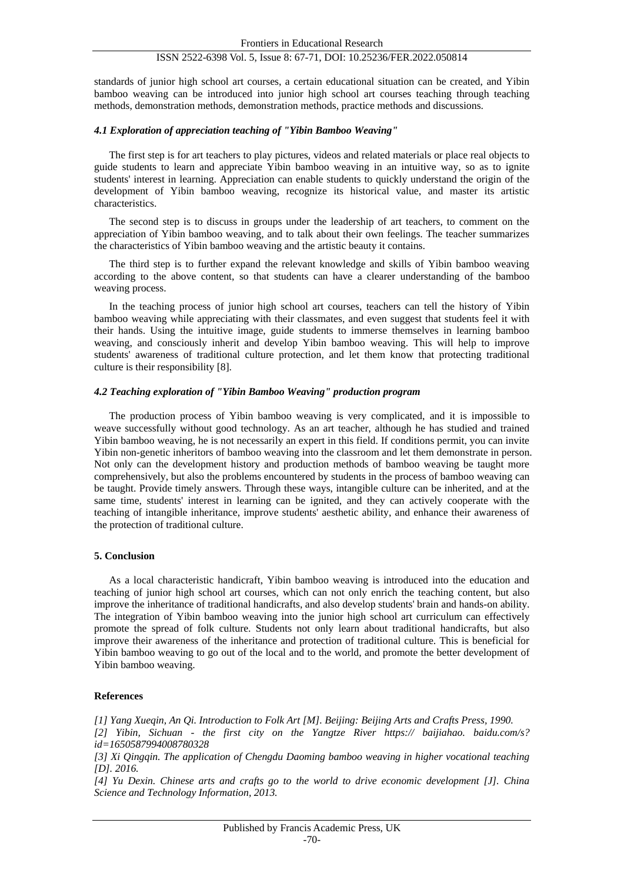standards of junior high school art courses, a certain educational situation can be created, and Yibin bamboo weaving can be introduced into junior high school art courses teaching through teaching methods, demonstration methods, demonstration methods, practice methods and discussions.

#### *4.1 Exploration of appreciation teaching of "Yibin Bamboo Weaving"*

The first step is for art teachers to play pictures, videos and related materials or place real objects to guide students to learn and appreciate Yibin bamboo weaving in an intuitive way, so as to ignite students' interest in learning. Appreciation can enable students to quickly understand the origin of the development of Yibin bamboo weaving, recognize its historical value, and master its artistic characteristics.

The second step is to discuss in groups under the leadership of art teachers, to comment on the appreciation of Yibin bamboo weaving, and to talk about their own feelings. The teacher summarizes the characteristics of Yibin bamboo weaving and the artistic beauty it contains.

The third step is to further expand the relevant knowledge and skills of Yibin bamboo weaving according to the above content, so that students can have a clearer understanding of the bamboo weaving process.

In the teaching process of junior high school art courses, teachers can tell the history of Yibin bamboo weaving while appreciating with their classmates, and even suggest that students feel it with their hands. Using the intuitive image, guide students to immerse themselves in learning bamboo weaving, and consciously inherit and develop Yibin bamboo weaving. This will help to improve students' awareness of traditional culture protection, and let them know that protecting traditional culture is their responsibility [8].

#### *4.2 Teaching exploration of "Yibin Bamboo Weaving" production program*

The production process of Yibin bamboo weaving is very complicated, and it is impossible to weave successfully without good technology. As an art teacher, although he has studied and trained Yibin bamboo weaving, he is not necessarily an expert in this field. If conditions permit, you can invite Yibin non-genetic inheritors of bamboo weaving into the classroom and let them demonstrate in person. Not only can the development history and production methods of bamboo weaving be taught more comprehensively, but also the problems encountered by students in the process of bamboo weaving can be taught. Provide timely answers. Through these ways, intangible culture can be inherited, and at the same time, students' interest in learning can be ignited, and they can actively cooperate with the teaching of intangible inheritance, improve students' aesthetic ability, and enhance their awareness of the protection of traditional culture.

#### **5. Conclusion**

As a local characteristic handicraft, Yibin bamboo weaving is introduced into the education and teaching of junior high school art courses, which can not only enrich the teaching content, but also improve the inheritance of traditional handicrafts, and also develop students' brain and hands-on ability. The integration of Yibin bamboo weaving into the junior high school art curriculum can effectively promote the spread of folk culture. Students not only learn about traditional handicrafts, but also improve their awareness of the inheritance and protection of traditional culture. This is beneficial for Yibin bamboo weaving to go out of the local and to the world, and promote the better development of Yibin bamboo weaving.

## **References**

*[1] Yang Xueqin, An Qi. Introduction to Folk Art [M]. Beijing: Beijing Arts and Crafts Press, 1990. [2] Yibin, Sichuan - the first city on the Yangtze River https:// baijiahao. baidu.com/s? id=1650587994008780328*

*[3] Xi Qingqin. The application of Chengdu Daoming bamboo weaving in higher vocational teaching [D]. 2016.*

*[4] Yu Dexin. Chinese arts and crafts go to the world to drive economic development [J]. China Science and Technology Information, 2013.*